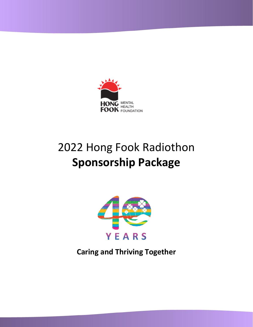

# 2022 Hong Fook Radiothon **Sponsorship Package**



**Caring and Thriving Together**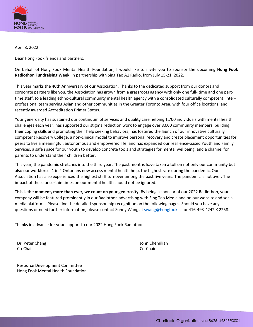

April 8, 2022

Dear Hong Fook friends and partners,

On behalf of Hong Fook Mental Health Foundation, I would like to invite you to sponsor the upcoming **Hong Fook Radiothon Fundraising Week**, in partnership with Sing Tao A1 Radio, from July 15-21, 2022.

This year marks the 40th Anniversary of our Association. Thanks to the dedicated support from our donors and corporate partners like you, the Association has grown from a grassroots agency with only one full- time and one parttime staff, to a leading ethno-cultural community mental health agency with a consolidated culturally competent, interprofessional team serving Asian and other communities in the Greater Toronto Area, with four office locations, and recently awarded Accreditation Primer Status.

Your generosity has sustained our continuum of services and quality care helping 1,700 individuals with mental health challenges each year; has supported our stigma reduction work to engage over 8,000 community members, building their coping skills and promoting their help seeking behaviors; has fostered the launch of our innovative culturally competent Recovery College, a non-clinical model to improve personal recovery and create placement opportunities for peers to live a meaningful, autonomous and empowered life; and has expanded our resilience-based Youth and Family Services, a safe space for our youth to develop concrete tools and strategies for mental wellbeing, and a channel for parents to understand their children better.

This year, the pandemic stretches into the third year. The past months have taken a toll on not only our community but also our workforce. 1 in 4 Ontarians now access mental health help, the highest rate during the pandemic. Our Association has also experienced the highest staff turnover among the past five years. The pandemic is not over. The impact of these uncertain times on our mental health should not be ignored.

**This is the moment, more than ever, we count on your generosity.** By being a sponsor of our 2022 Radiothon, your company will be featured prominently in our Radiothon advertising with Sing Tao Media and on our website and social media platforms. Please find the detailed sponsorship recognition on the following pages. Should you have any questions or need further information, please contact Sunny Wang a[t swang@hongfook.ca](mailto:swang@hongfook.ca) or 416-493-4242 X 2258.

Thanks in advance for your support to our 2022 Hong Fook Radiothon.

Dr. Peter Chang Co-Chair

John Chemilian Co-Chair

Resource Development Committee Hong Fook Mental Health Foundation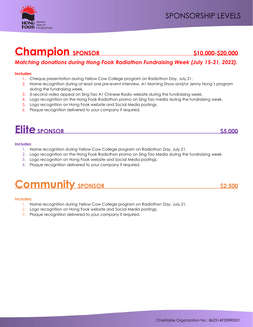## **Champion SPONSOR** \$10,000-\$20,000

## *Matching donations during Hong Fook Radiothon Fundraising Week (July 15-21, 2022).*

### **Includes:**

- 1. Cheque presentation during Yellow Cow College program on Radiothon Day, July 21.
- 2. Name recognition during at least one pre-event interview, A1 Morning Show and/or Jenny Hong's program during the fundraising week.
- 3. 5-second video appeal on Sing Tao A1 Chinese Radio website during the fundraising week.
- 4. Logo recognition on the Hong Fook Radiothon promo on Sing Tao media during the fundraising week.
- 5. Logo recognition on Hong Fook website and Social Media postings.
- 6. Plaque recognition delivered to your company if required.

## **Elite** SPONSOR 55,000

#### **Includes:**

- 1. Name recognition during Yellow Cow College program on Radiothon Day, July 21.
- 2. Logo recognition on the Hong Fook Radiothon promo on Sing Tao Media during the fundraising week.
- 3. Logo recognition on Hong Fook website and Social Media postings.
- 4. Plaque recognition delivered to your company if required.

## **Community sponsor** 52,500

#### **Includes:**

- 1. Name recognition during Yellow Cow College program on Radiothon Day, July 21.
- 2. Logo recognition on Hong Fook website and Social Media postings.
- 3. Plaque recognition delivered to your company if required.